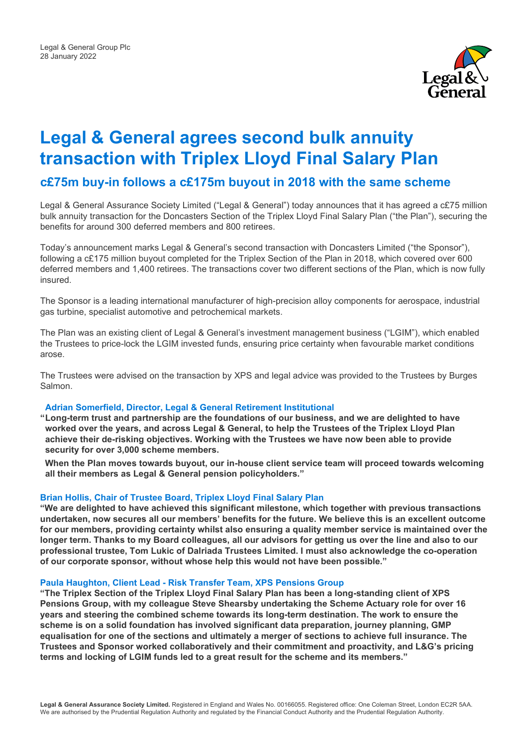

# **Legal & General agrees second bulk annuity transaction with Triplex Lloyd Final Salary Plan**

# **c£75m buy-in follows a c£175m buyout in 2018 with the same scheme**

Legal & General Assurance Society Limited ("Legal & General") today announces that it has agreed a c£75 million bulk annuity transaction for the Doncasters Section of the Triplex Lloyd Final Salary Plan ("the Plan"), securing the benefits for around 300 deferred members and 800 retirees.

Today's announcement marks Legal & General's second transaction with Doncasters Limited ("the Sponsor"), following a c£175 million buyout completed for the Triplex Section of the Plan in 2018, which covered over 600 deferred members and 1,400 retirees. The transactions cover two different sections of the Plan, which is now fully insured.

The Sponsor is a leading international manufacturer of high-precision alloy components for aerospace, industrial gas turbine, specialist automotive and petrochemical markets.

The Plan was an existing client of Legal & General's investment management business ("LGIM"), which enabled the Trustees to price-lock the LGIM invested funds, ensuring price certainty when favourable market conditions arose.

The Trustees were advised on the transaction by XPS and legal advice was provided to the Trustees by Burges Salmon.

### **Adrian Somerfield, Director, Legal & General Retirement Institutional**

**"Long-term trust and partnership are the foundations of our business, and we are delighted to have worked over the years, and across Legal & General, to help the Trustees of the Triplex Lloyd Plan achieve their de-risking objectives. Working with the Trustees we have now been able to provide security for over 3,000 scheme members.**

 **When the Plan moves towards buyout, our in-house client service team will proceed towards welcoming all their members as Legal & General pension policyholders."**

#### **Brian Hollis, Chair of Trustee Board, Triplex Lloyd Final Salary Plan**

**"We are delighted to have achieved this significant milestone, which together with previous transactions undertaken, now secures all our members' benefits for the future. We believe this is an excellent outcome for our members, providing certainty whilst also ensuring a quality member service is maintained over the longer term. Thanks to my Board colleagues, all our advisors for getting us over the line and also to our professional trustee, Tom Lukic of Dalriada Trustees Limited. I must also acknowledge the co-operation of our corporate sponsor, without whose help this would not have been possible."**

#### **Paula Haughton, Client Lead - Risk Transfer Team, XPS Pensions Group**

**"The Triplex Section of the Triplex Lloyd Final Salary Plan has been a long-standing client of XPS Pensions Group, with my colleague Steve Shearsby undertaking the Scheme Actuary role for over 16 years and steering the combined scheme towards its long-term destination. The work to ensure the scheme is on a solid foundation has involved significant data preparation, journey planning, GMP equalisation for one of the sections and ultimately a merger of sections to achieve full insurance. The Trustees and Sponsor worked collaboratively and their commitment and proactivity, and L&G's pricing terms and locking of LGIM funds led to a great result for the scheme and its members."**